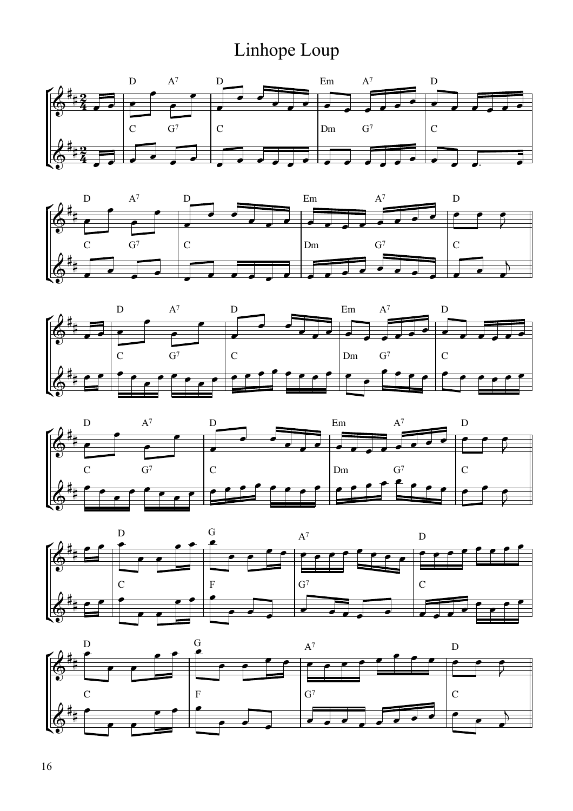## Linhope Loup